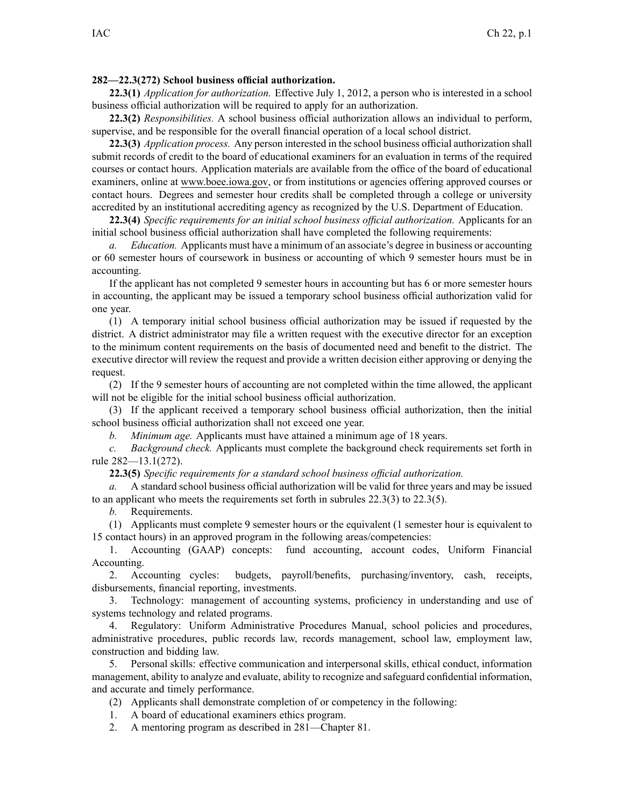## **282—22.3(272) School business official authorization.**

**22.3(1)** *Application for authorization.* Effective July 1, 2012, <sup>a</sup> person who is interested in <sup>a</sup> school business official authorization will be required to apply for an authorization.

**22.3(2)** *Responsibilities.* A school business official authorization allows an individual to perform, supervise, and be responsible for the overall financial operation of <sup>a</sup> local school district.

**22.3(3)** *Application process.* Any person interested in the school business official authorization shall submit records of credit to the board of educational examiners for an evaluation in terms of the required courses or contact hours. Application materials are available from the office of the board of educational examiners, online at [www.boee.iowa.gov](http://www.boee.iowa.gov/), or from institutions or agencies offering approved courses or contact hours. Degrees and semester hour credits shall be completed through <sup>a</sup> college or university accredited by an institutional accrediting agency as recognized by the U.S. Department of Education.

**22.3(4)** *Specific requirements for an initial school business official authorization.* Applicants for an initial school business official authorization shall have completed the following requirements:

*a. Education.* Applicants must have <sup>a</sup> minimum of an associate's degree in business or accounting or 60 semester hours of coursework in business or accounting of which 9 semester hours must be in accounting.

If the applicant has not completed 9 semester hours in accounting but has 6 or more semester hours in accounting, the applicant may be issued <sup>a</sup> temporary school business official authorization valid for one year.

(1) A temporary initial school business official authorization may be issued if requested by the district. A district administrator may file <sup>a</sup> written reques<sup>t</sup> with the executive director for an exception to the minimum content requirements on the basis of documented need and benefit to the district. The executive director will review the reques<sup>t</sup> and provide <sup>a</sup> written decision either approving or denying the request.

(2) If the 9 semester hours of accounting are not completed within the time allowed, the applicant will not be eligible for the initial school business official authorization.

(3) If the applicant received <sup>a</sup> temporary school business official authorization, then the initial school business official authorization shall not exceed one year.

*b. Minimum age.* Applicants must have attained <sup>a</sup> minimum age of 18 years.

*c. Background check.* Applicants must complete the background check requirements set forth in rule [282—13.1](https://www.legis.iowa.gov/docs/iac/rule/282.13.1.pdf)(272).

**22.3(5)** *Specific requirements for <sup>a</sup> standard school business official authorization.*

*a.* A standard school business official authorization will be valid for three years and may be issued to an applicant who meets the requirements set forth in subrules [22.3\(3\)](https://www.legis.iowa.gov/docs/iac/rule/282.22.3.pdf) to [22.3\(5\)](https://www.legis.iowa.gov/docs/iac/rule/282.22.3.pdf).

*b.* Requirements.

(1) Applicants must complete 9 semester hours or the equivalent (1 semester hour is equivalent to 15 contact hours) in an approved program in the following areas/competencies:

1. Accounting (GAAP) concepts: fund accounting, account codes, Uniform Financial Accounting.

2. Accounting cycles: budgets, payroll/benefits, purchasing/inventory, cash, receipts, disbursements, financial reporting, investments.

3. Technology: managemen<sup>t</sup> of accounting systems, proficiency in understanding and use of systems technology and related programs.

4. Regulatory: Uniform Administrative Procedures Manual, school policies and procedures, administrative procedures, public records law, records management, school law, employment law, construction and bidding law.

5. Personal skills: effective communication and interpersonal skills, ethical conduct, information management, ability to analyze and evaluate, ability to recognize and safeguard confidential information, and accurate and timely performance.

(2) Applicants shall demonstrate completion of or competency in the following:

1. A board of educational examiners ethics program.

2. A mentoring program as described in 281—Chapter 81.